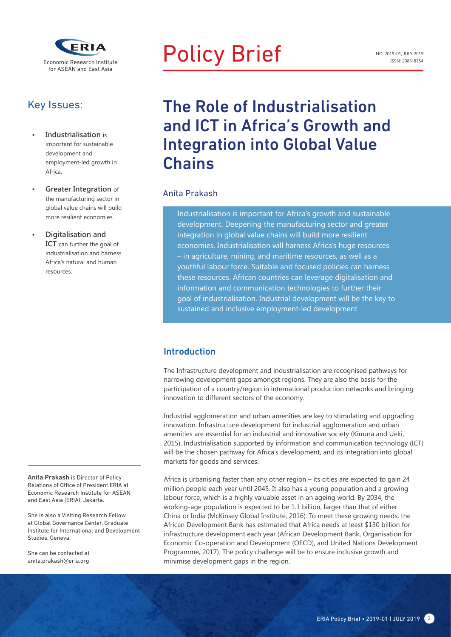

### Key Issues:

- **• Industrialisation** is important for sustainable development and employment-led growth in Africa.
- **• Greater Integration** of the manufacturing sector in global value chains will build more resilient economies.
- **• Digitalisation and ICT** can further the goal of industrialisation and harness Africa's natural and human resources.

Anita Prakash is Director of Policy Relations of Office of President ERIA at Economic Research Institute for ASEAN and East Asia (ERIA), Jakarta.

She is also a Visiting Research Fellow at Global Governance Center, Graduate Institute for International and Development Studies, Geneva.

She can be contacted at anita.prakash@eria.org

# Policy Brief

## The Role of Industrialisation and ICT in Africa's Growth and Integration into Global Value **Chains**

#### Anita Prakash

 Industrialisation is important for Africa's growth and sustainable development. Deepening the manufacturing sector and greater integration in global value chains will build more resilient economies. Industrialisation will harness Africa's huge resources – in agriculture, mining, and maritime resources, as well as a youthful labour force. Suitable and focused policies can harness these resources. African countries can leverage digitalisation and information and communication technologies to further their goal of industrialisation. Industrial development will be the key to sustained and inclusive employment-led development

#### Introduction

The Infrastructure development and industrialisation are recognised pathways for narrowing development gaps amongst regions. They are also the basis for the participation of a country/region in international production networks and bringing innovation to different sectors of the economy.

Industrial agglomeration and urban amenities are key to stimulating and upgrading innovation. Infrastructure development for industrial agglomeration and urban amenities are essential for an industrial and innovative society (Kimura and Ueki, 2015). Industrialisation supported by information and communication technology (ICT) will be the chosen pathway for Africa's development, and its integration into global markets for goods and services.

Africa is urbanising faster than any other region – its cities are expected to gain 24 million people each year until 2045. It also has a young population and a growing labour force, which is a highly valuable asset in an ageing world. By 2034, the working-age population is expected to be 1.1 billion, larger than that of either China or India (McKinsey Global Institute, 2016). To meet these growing needs, the African Development Bank has estimated that Africa needs at least \$130 billion for infrastructure development each year (African Development Bank, Organisation for Economic Co-operation and Development (OECD), and United Nations Development Programme, 2017). The policy challenge will be to ensure inclusive growth and minimise development gaps in the region.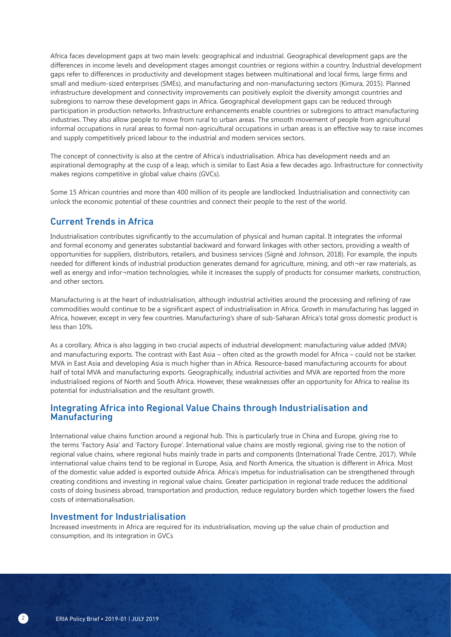Africa faces development gaps at two main levels: geographical and industrial. Geographical development gaps are the differences in income levels and development stages amongst countries or regions within a country. Industrial development gaps refer to differences in productivity and development stages between multinational and local firms, large firms and small and medium-sized enterprises (SMEs), and manufacturing and non-manufacturing sectors (Kimura, 2015). Planned infrastructure development and connectivity improvements can positively exploit the diversity amongst countries and subregions to narrow these development gaps in Africa. Geographical development gaps can be reduced through participation in production networks. Infrastructure enhancements enable countries or subregions to attract manufacturing industries. They also allow people to move from rural to urban areas. The smooth movement of people from agricultural informal occupations in rural areas to formal non-agricultural occupations in urban areas is an effective way to raise incomes and supply competitively priced labour to the industrial and modern services sectors.

The concept of connectivity is also at the centre of Africa's industrialisation. Africa has development needs and an aspirational demography at the cusp of a leap, which is similar to East Asia a few decades ago. Infrastructure for connectivity makes regions competitive in global value chains (GVCs).

Some 15 African countries and more than 400 million of its people are landlocked. Industrialisation and connectivity can unlock the economic potential of these countries and connect their people to the rest of the world.

#### Current Trends in Africa

Industrialisation contributes significantly to the accumulation of physical and human capital. It integrates the informal and formal economy and generates substantial backward and forward linkages with other sectors, providing a wealth of opportunities for suppliers, distributors, retailers, and business services (Signé and Johnson, 2018). For example, the inputs needed for different kinds of industrial production generates demand for agriculture, mining, and oth¬er raw materials, as well as energy and infor-mation technologies, while it increases the supply of products for consumer markets, construction, and other sectors.

Manufacturing is at the heart of industrialisation, although industrial activities around the processing and refining of raw commodities would continue to be a significant aspect of industrialisation in Africa. Growth in manufacturing has lagged in Africa, however, except in very few countries. Manufacturing's share of sub-Saharan Africa's total gross domestic product is less than 10%.

As a corollary, Africa is also lagging in two crucial aspects of industrial development: manufacturing value added (MVA) and manufacturing exports. The contrast with East Asia – often cited as the growth model for Africa – could not be starker. MVA in East Asia and developing Asia is much higher than in Africa. Resource-based manufacturing accounts for about half of total MVA and manufacturing exports. Geographically, industrial activities and MVA are reported from the more industrialised regions of North and South Africa. However, these weaknesses offer an opportunity for Africa to realise its potential for industrialisation and the resultant growth.

#### Integrating Africa into Regional Value Chains through Industrialisation and Manufacturing

International value chains function around a regional hub. This is particularly true in China and Europe, giving rise to the terms 'Factory Asia' and 'Factory Europe'. International value chains are mostly regional, giving rise to the notion of regional value chains, where regional hubs mainly trade in parts and components (International Trade Centre, 2017). While international value chains tend to be regional in Europe, Asia, and North America, the situation is different in Africa. Most of the domestic value added is exported outside Africa. Africa's impetus for industrialisation can be strengthened through creating conditions and investing in regional value chains. Greater participation in regional trade reduces the additional costs of doing business abroad, transportation and production, reduce regulatory burden which together lowers the fixed costs of internationalisation.

#### Investment for Industrialisation

Increased investments in Africa are required for its industrialisation, moving up the value chain of production and consumption, and its integration in GVCs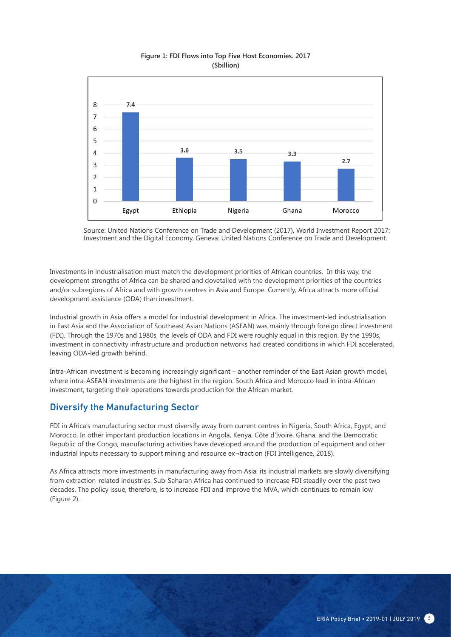

#### **Figure 1: FDI Flows into Top Five Host Economies. 2017 (\$billion)**

Source: United Nations Conference on Trade and Development (2017), World Investment Report 2017: Investment and the Digital Economy. Geneva: United Nations Conference on Trade and Development.

Investments in industrialisation must match the development priorities of African countries. In this way, the development strengths of Africa can be shared and dovetailed with the development priorities of the countries and/or subregions of Africa and with growth centres in Asia and Europe. Currently, Africa attracts more official development assistance (ODA) than investment.

Industrial growth in Asia offers a model for industrial development in Africa. The investment-led industrialisation in East Asia and the Association of Southeast Asian Nations (ASEAN) was mainly through foreign direct investment (FDI). Through the 1970s and 1980s, the levels of ODA and FDI were roughly equal in this region. By the 1990s, investment in connectivity infrastructure and production networks had created conditions in which FDI accelerated, leaving ODA-led growth behind.

Intra-African investment is becoming increasingly significant – another reminder of the East Asian growth model, where intra-ASEAN investments are the highest in the region. South Africa and Morocco lead in intra-African investment, targeting their operations towards production for the African market.

#### Diversify the Manufacturing Sector

FDI in Africa's manufacturing sector must diversify away from current centres in Nigeria, South Africa, Egypt, and Morocco. In other important production locations in Angola, Kenya, Côte d'Ivoire, Ghana, and the Democratic Republic of the Congo, manufacturing activities have developed around the production of equipment and other industrial inputs necessary to support mining and resource ex¬traction (FDI Intelligence, 2018).

As Africa attracts more investments in manufacturing away from Asia, its industrial markets are slowly diversifying from extraction-related industries. Sub-Saharan Africa has continued to increase FDI steadily over the past two decades. The policy issue, therefore, is to increase FDI and improve the MVA, which continues to remain low (Figure 2).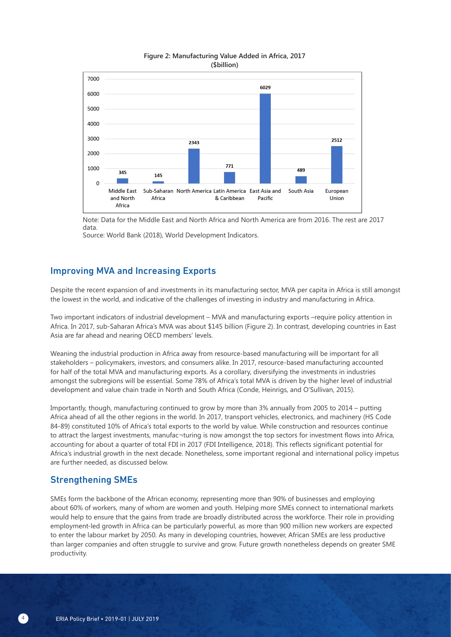

#### **Figure 2: Manufacturing Value Added in Africa, 2017 (\$billion)**

Note: Data for the Middle East and North Africa and North America are from 2016. The rest are 2017 data.

Source: World Bank (2018), World Development Indicators.

#### Improving MVA and Increasing Exports

Despite the recent expansion of and investments in its manufacturing sector, MVA per capita in Africa is still amongst the lowest in the world, and indicative of the challenges of investing in industry and manufacturing in Africa.

Two important indicators of industrial development – MVA and manufacturing exports –require policy attention in Africa. In 2017, sub-Saharan Africa's MVA was about \$145 billion (Figure 2). In contrast, developing countries in East Asia are far ahead and nearing OECD members' levels.

Weaning the industrial production in Africa away from resource-based manufacturing will be important for all stakeholders – policymakers, investors, and consumers alike. In 2017, resource-based manufacturing accounted for half of the total MVA and manufacturing exports. As a corollary, diversifying the investments in industries amongst the subregions will be essential. Some 78% of Africa's total MVA is driven by the higher level of industrial development and value chain trade in North and South Africa (Conde, Heinrigs, and O'Sullivan, 2015).

Importantly, though, manufacturing continued to grow by more than 3% annually from 2005 to 2014 – putting Africa ahead of all the other regions in the world. In 2017, transport vehicles, electronics, and machinery (HS Code 84-89) constituted 10% of Africa's total exports to the world by value. While construction and resources continue to attract the largest investments, manufac¬turing is now amongst the top sectors for investment flows into Africa, accounting for about a quarter of total FDI in 2017 (FDI Intelligence, 2018). This reflects significant potential for Africa's industrial growth in the next decade. Nonetheless, some important regional and international policy impetus are further needed, as discussed below.

#### Strengthening SMEs

SMEs form the backbone of the African economy, representing more than 90% of businesses and employing about 60% of workers, many of whom are women and youth. Helping more SMEs connect to international markets would help to ensure that the gains from trade are broadly distributed across the workforce. Their role in providing employment-led growth in Africa can be particularly powerful, as more than 900 million new workers are expected to enter the labour market by 2050. As many in developing countries, however, African SMEs are less productive than larger companies and often struggle to survive and grow. Future growth nonetheless depends on greater SME productivity.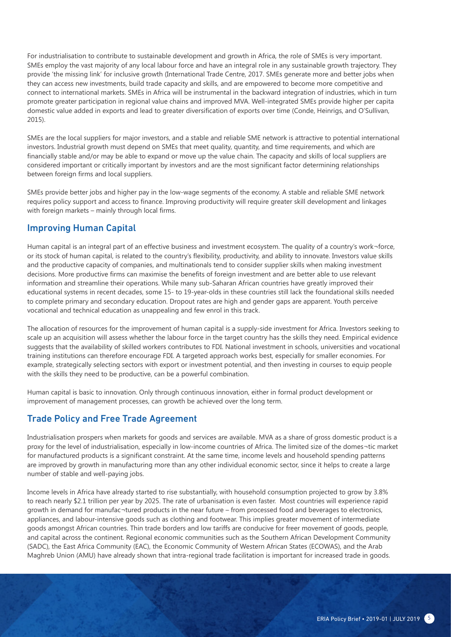For industrialisation to contribute to sustainable development and growth in Africa, the role of SMEs is very important. SMEs employ the vast majority of any local labour force and have an integral role in any sustainable growth trajectory. They provide 'the missing link' for inclusive growth (International Trade Centre, 2017. SMEs generate more and better jobs when they can access new investments, build trade capacity and skills, and are empowered to become more competitive and connect to international markets. SMEs in Africa will be instrumental in the backward integration of industries, which in turn promote greater participation in regional value chains and improved MVA. Well-integrated SMEs provide higher per capita domestic value added in exports and lead to greater diversification of exports over time (Conde, Heinrigs, and O'Sullivan, 2015).

SMEs are the local suppliers for major investors, and a stable and reliable SME network is attractive to potential international investors. Industrial growth must depend on SMEs that meet quality, quantity, and time requirements, and which are financially stable and/or may be able to expand or move up the value chain. The capacity and skills of local suppliers are considered important or critically important by investors and are the most significant factor determining relationships between foreign firms and local suppliers.

SMEs provide better jobs and higher pay in the low-wage segments of the economy. A stable and reliable SME network requires policy support and access to finance. Improving productivity will require greater skill development and linkages with foreign markets – mainly through local firms.

#### Improving Human Capital

Human capital is an integral part of an effective business and investment ecosystem. The quality of a country's work¬force, or its stock of human capital, is related to the country's flexibility, productivity, and ability to innovate. Investors value skills and the productive capacity of companies, and multinationals tend to consider supplier skills when making investment decisions. More productive firms can maximise the benefits of foreign investment and are better able to use relevant information and streamline their operations. While many sub-Saharan African countries have greatly improved their educational systems in recent decades, some 15- to 19-year-olds in these countries still lack the foundational skills needed to complete primary and secondary education. Dropout rates are high and gender gaps are apparent. Youth perceive vocational and technical education as unappealing and few enrol in this track.

The allocation of resources for the improvement of human capital is a supply-side investment for Africa. Investors seeking to scale up an acquisition will assess whether the labour force in the target country has the skills they need. Empirical evidence suggests that the availability of skilled workers contributes to FDI. National investment in schools, universities and vocational training institutions can therefore encourage FDI. A targeted approach works best, especially for smaller economies. For example, strategically selecting sectors with export or investment potential, and then investing in courses to equip people with the skills they need to be productive, can be a powerful combination.

Human capital is basic to innovation. Only through continuous innovation, either in formal product development or improvement of management processes, can growth be achieved over the long term.

#### Trade Policy and Free Trade Agreement

Industrialisation prospers when markets for goods and services are available. MVA as a share of gross domestic product is a proxy for the level of industrialisation, especially in low-income countries of Africa. The limited size of the domes¬tic market for manufactured products is a significant constraint. At the same time, income levels and household spending patterns are improved by growth in manufacturing more than any other individual economic sector, since it helps to create a large number of stable and well-paying jobs.

Income levels in Africa have already started to rise substantially, with household consumption projected to grow by 3.8% to reach nearly \$2.1 trillion per year by 2025. The rate of urbanisation is even faster. Most countries will experience rapid growth in demand for manufac¬tured products in the near future – from processed food and beverages to electronics, appliances, and labour-intensive goods such as clothing and footwear. This implies greater movement of intermediate goods amongst African countries. Thin trade borders and low tariffs are conducive for freer movement of goods, people, and capital across the continent. Regional economic communities such as the Southern African Development Community (SADC), the East Africa Community (EAC), the Economic Community of Western African States (ECOWAS), and the Arab Maghreb Union (AMU) have already shown that intra-regional trade facilitation is important for increased trade in goods.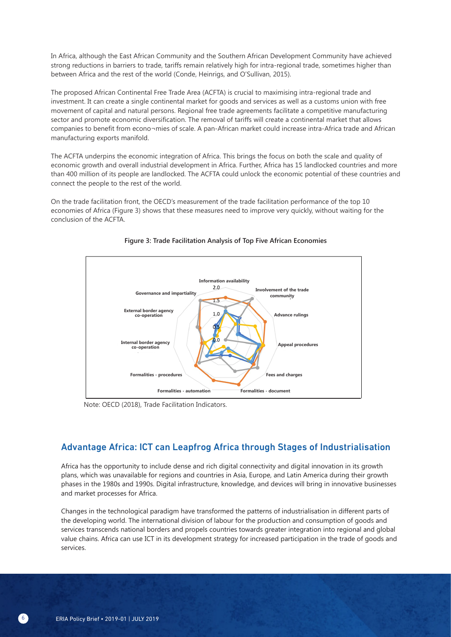In Africa, although the East African Community and the Southern African Development Community have achieved strong reductions in barriers to trade, tariffs remain relatively high for intra-regional trade, sometimes higher than between Africa and the rest of the world (Conde, Heinrigs, and O'Sullivan, 2015).

The proposed African Continental Free Trade Area (ACFTA) is crucial to maximising intra-regional trade and investment. It can create a single continental market for goods and services as well as a customs union with free movement of capital and natural persons. Regional free trade agreements facilitate a competitive manufacturing sector and promote economic diversification. The removal of tariffs will create a continental market that allows companies to benefit from econo¬mies of scale. A pan-African market could increase intra-Africa trade and African manufacturing exports manifold.

The ACFTA underpins the economic integration of Africa. This brings the focus on both the scale and quality of economic growth and overall industrial development in Africa. Further, Africa has 15 landlocked countries and more than 400 million of its people are landlocked. The ACFTA could unlock the economic potential of these countries and connect the people to the rest of the world.

On the trade facilitation front, the OECD's measurement of the trade facilitation performance of the top 10 economies of Africa (Figure 3) shows that these measures need to improve very quickly, without waiting for the conclusion of the ACFTA.



#### **Figure 3: Trade Facilitation Analysis of Top Five African Economies**

Note: OECD (2018), Trade Facilitation Indicators.

#### Advantage Africa: ICT can Leapfrog Africa through Stages of Industrialisation

Africa has the opportunity to include dense and rich digital connectivity and digital innovation in its growth plans, which was unavailable for regions and countries in Asia, Europe, and Latin America during their growth phases in the 1980s and 1990s. Digital infrastructure, knowledge, and devices will bring in innovative businesses and market processes for Africa.

Changes in the technological paradigm have transformed the patterns of industrialisation in different parts of the developing world. The international division of labour for the production and consumption of goods and services transcends national borders and propels countries towards greater integration into regional and global value chains. Africa can use ICT in its development strategy for increased participation in the trade of goods and services.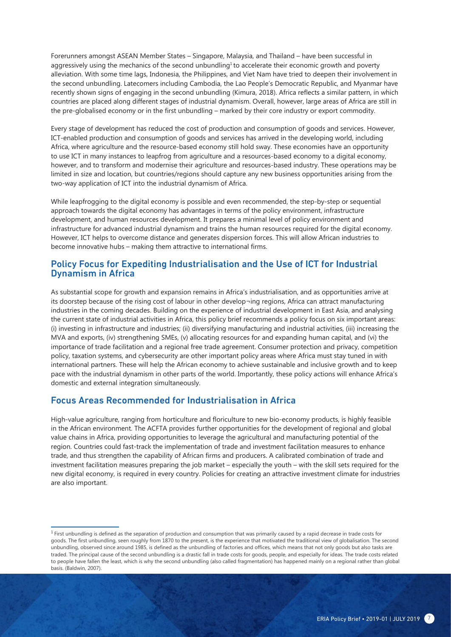Forerunners amongst ASEAN Member States – Singapore, Malaysia, and Thailand – have been successful in aggressively using the mechanics of the second unbundling<sup>1</sup> to accelerate their economic growth and poverty alleviation. With some time lags, Indonesia, the Philippines, and Viet Nam have tried to deepen their involvement in the second unbundling. Latecomers including Cambodia, the Lao People's Democratic Republic, and Myanmar have recently shown signs of engaging in the second unbundling (Kimura, 2018). Africa reflects a similar pattern, in which countries are placed along different stages of industrial dynamism. Overall, however, large areas of Africa are still in the pre-globalised economy or in the first unbundling – marked by their core industry or export commodity.

Every stage of development has reduced the cost of production and consumption of goods and services. However, ICT-enabled production and consumption of goods and services has arrived in the developing world, including Africa, where agriculture and the resource-based economy still hold sway. These economies have an opportunity to use ICT in many instances to leapfrog from agriculture and a resources-based economy to a digital economy, however, and to transform and modernise their agriculture and resources-based industry. These operations may be limited in size and location, but countries/regions should capture any new business opportunities arising from the two-way application of ICT into the industrial dynamism of Africa.

While leapfrogging to the digital economy is possible and even recommended, the step-by-step or sequential approach towards the digital economy has advantages in terms of the policy environment, infrastructure development, and human resources development. It prepares a minimal level of policy environment and infrastructure for advanced industrial dynamism and trains the human resources required for the digital economy. However, ICT helps to overcome distance and generates dispersion forces. This will allow African industries to become innovative hubs – making them attractive to international firms.

#### Policy Focus for Expediting Industrialisation and the Use of ICT for Industrial Dynamism in Africa

As substantial scope for growth and expansion remains in Africa's industrialisation, and as opportunities arrive at its doorstep because of the rising cost of labour in other develop¬ing regions, Africa can attract manufacturing industries in the coming decades. Building on the experience of industrial development in East Asia, and analysing the current state of industrial activities in Africa, this policy brief recommends a policy focus on six important areas: (i) investing in infrastructure and industries; (ii) diversifying manufacturing and industrial activities, (iii) increasing the MVA and exports, (iv) strengthening SMEs, (v) allocating resources for and expanding human capital, and (vi) the importance of trade facilitation and a regional free trade agreement. Consumer protection and privacy, competition policy, taxation systems, and cybersecurity are other important policy areas where Africa must stay tuned in with international partners. These will help the African economy to achieve sustainable and inclusive growth and to keep pace with the industrial dynamism in other parts of the world. Importantly, these policy actions will enhance Africa's domestic and external integration simultaneously.

#### Focus Areas Recommended for Industrialisation in Africa

High-value agriculture, ranging from horticulture and floriculture to new bio-economy products, is highly feasible in the African environment. The ACFTA provides further opportunities for the development of regional and global value chains in Africa, providing opportunities to leverage the agricultural and manufacturing potential of the region. Countries could fast-track the implementation of trade and investment facilitation measures to enhance trade, and thus strengthen the capability of African firms and producers. A calibrated combination of trade and investment facilitation measures preparing the job market – especially the youth – with the skill sets required for the new digital economy, is required in every country. Policies for creating an attractive investment climate for industries are also important.

<sup>&</sup>lt;sup>1</sup> First unbundling is defined as the separation of production and consumption that was primarily caused by a rapid decrease in trade costs for goods. The first unbundling, seen roughly from 1870 to the present, is the experience that motivated the traditional view of globalisation. The second unbundling, observed since around 1985, is defined as the unbundling of factories and offices, which means that not only goods but also tasks are traded. The principal cause of the second unbundling is a drastic fall in trade costs for goods, people, and especially for ideas. The trade costs related to people have fallen the least, which is why the second unbundling (also called fragmentation) has happened mainly on a regional rather than global basis. (Baldwin, 2007).